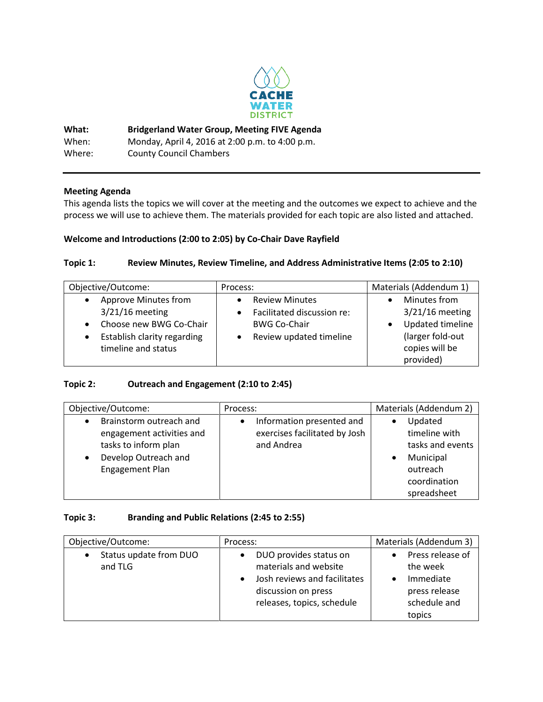

**What: Bridgerland Water Group, Meeting FIVE Agenda** When: Monday, April 4, 2016 at 2:00 p.m. to 4:00 p.m. Where: County Council Chambers

### **Meeting Agenda**

This agenda lists the topics we will cover at the meeting and the outcomes we expect to achieve and the process we will use to achieve them. The materials provided for each topic are also listed and attached.

### **Welcome and Introductions (2:00 to 2:05) by Co-Chair Dave Rayfield**

#### **Topic 1: Review Minutes, Review Timeline, and Address Administrative Items (2:05 to 2:10)**

| Objective/Outcome:                                                                                                                                                | Process:                                                                                              | Materials (Addendum 1)                                                                      |
|-------------------------------------------------------------------------------------------------------------------------------------------------------------------|-------------------------------------------------------------------------------------------------------|---------------------------------------------------------------------------------------------|
| Approve Minutes from<br>$\bullet$<br>$3/21/16$ meeting<br>Choose new BWG Co-Chair<br>$\bullet$<br>Establish clarity regarding<br>$\bullet$<br>timeline and status | <b>Review Minutes</b><br>Facilitated discussion re:<br><b>BWG Co-Chair</b><br>Review updated timeline | Minutes from<br>$3/21/16$ meeting<br>Updated timeline<br>(larger fold-out<br>copies will be |
|                                                                                                                                                                   |                                                                                                       | provided)                                                                                   |

#### **Topic 2: Outreach and Engagement (2:10 to 2:45)**

| Objective/Outcome:                                                                                                                                | Process:                                                                 | Materials (Addendum 2)                                                                               |
|---------------------------------------------------------------------------------------------------------------------------------------------------|--------------------------------------------------------------------------|------------------------------------------------------------------------------------------------------|
| Brainstorm outreach and<br>$\bullet$<br>engagement activities and<br>tasks to inform plan<br>Develop Outreach and<br>$\bullet$<br>Engagement Plan | Information presented and<br>exercises facilitated by Josh<br>and Andrea | Updated<br>timeline with<br>tasks and events<br>Municipal<br>outreach<br>coordination<br>spreadsheet |

#### **Topic 3: Branding and Public Relations (2:45 to 2:55)**

| Objective/Outcome:                | Process:                                                                                                                             | Materials (Addendum 3)                                                               |
|-----------------------------------|--------------------------------------------------------------------------------------------------------------------------------------|--------------------------------------------------------------------------------------|
| Status update from DUO<br>and TLG | DUO provides status on<br>materials and website<br>Josh reviews and facilitates<br>discussion on press<br>releases, topics, schedule | Press release of<br>the week<br>Immediate<br>press release<br>schedule and<br>topics |